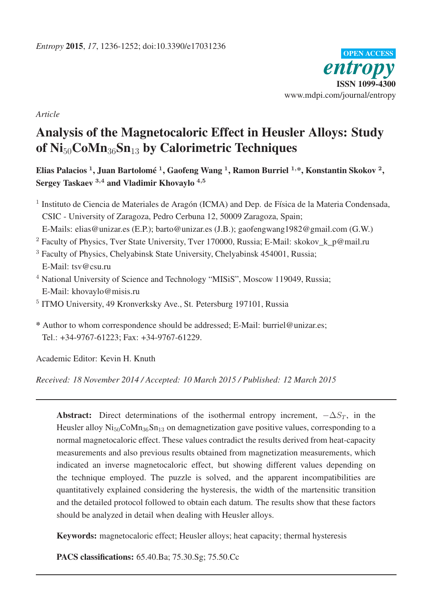

*Article*

# Analysis of the Magnetocaloric Effect in Heusler Alloys: Study of  $\mathrm{Ni}_{50}$ CoMn<sub>36</sub>Sn<sub>13</sub> by Calorimetric Techniques

Elias Palacios <sup>1</sup>, Juan Bartolomé <sup>1</sup>, Gaofeng Wang <sup>1</sup>, Ramon Burriel <sup>1,</sup>\*, Konstantin Skokov <sup>2</sup>, Sergey Taskaev 3,4 and Vladimir Khovaylo 4,5

- <sup>1</sup> Instituto de Ciencia de Materiales de Aragón (ICMA) and Dep. de Física de la Materia Condensada, CSIC - University of Zaragoza, Pedro Cerbuna 12, 50009 Zaragoza, Spain;
- E-Mails: elias@unizar.es (E.P.); barto@unizar.es (J.B.); gaofengwang1982@gmail.com (G.W.)
- <sup>2</sup> Faculty of Physics, Tver State University, Tver 170000, Russia; E-Mail: skokov k p@mail.ru
- <sup>3</sup> Faculty of Physics, Chelyabinsk State University, Chelyabinsk 454001, Russia; E-Mail: tsv@csu.ru
- <sup>4</sup> National University of Science and Technology "MISiS", Moscow 119049, Russia; E-Mail: khovaylo@misis.ru
- <sup>5</sup> ITMO University, 49 Kronverksky Ave., St. Petersburg 197101, Russia

\* Author to whom correspondence should be addressed; E-Mail: burriel@unizar.es; Tel.: +34-9767-61223; Fax: +34-9767-61229.

Academic Editor: Kevin H. Knuth

*Received: 18 November 2014 / Accepted: 10 March 2015 / Published: 12 March 2015*

Abstract: Direct determinations of the isothermal entropy increment,  $-\Delta S_T$ , in the Heusler alloy  $\text{Ni}_{50}\text{CoMn}_{36}\text{Sn}_{13}$  on demagnetization gave positive values, corresponding to a normal magnetocaloric effect. These values contradict the results derived from heat-capacity measurements and also previous results obtained from magnetization measurements, which indicated an inverse magnetocaloric effect, but showing different values depending on the technique employed. The puzzle is solved, and the apparent incompatibilities are quantitatively explained considering the hysteresis, the width of the martensitic transition and the detailed protocol followed to obtain each datum. The results show that these factors should be analyzed in detail when dealing with Heusler alloys.

Keywords: magnetocaloric effect; Heusler alloys; heat capacity; thermal hysteresis

PACS classifications: 65.40.Ba; 75.30.Sg; 75.50.Cc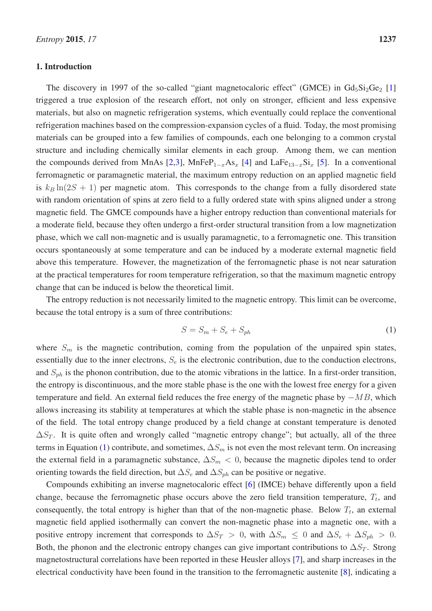# 1. Introduction

The discovery in 1997 of the so-called "giant magnetocaloric effect" (GMCE) in  $Gd_5Si_2Ge_2$  [\[1\]](#page-15-0) triggered a true explosion of the research effort, not only on stronger, efficient and less expensive materials, but also on magnetic refrigeration systems, which eventually could replace the conventional refrigeration machines based on the compression-expansion cycles of a fluid. Today, the most promising materials can be grouped into a few families of compounds, each one belonging to a common crystal structure and including chemically similar elements in each group. Among them, we can mention the compounds derived from MnAs [\[2](#page-15-1)[,3\]](#page-15-2), MnFeP<sub>1−x</sub>As<sub>x</sub> [\[4\]](#page-15-3) and LaFe<sub>13−x</sub>Si<sub>x</sub> [\[5\]](#page-15-4). In a conventional ferromagnetic or paramagnetic material, the maximum entropy reduction on an applied magnetic field is  $k_B \ln(2S + 1)$  per magnetic atom. This corresponds to the change from a fully disordered state with random orientation of spins at zero field to a fully ordered state with spins aligned under a strong magnetic field. The GMCE compounds have a higher entropy reduction than conventional materials for a moderate field, because they often undergo a first-order structural transition from a low magnetization phase, which we call non-magnetic and is usually paramagnetic, to a ferromagnetic one. This transition occurs spontaneously at some temperature and can be induced by a moderate external magnetic field above this temperature. However, the magnetization of the ferromagnetic phase is not near saturation at the practical temperatures for room temperature refrigeration, so that the maximum magnetic entropy change that can be induced is below the theoretical limit.

The entropy reduction is not necessarily limited to the magnetic entropy. This limit can be overcome, because the total entropy is a sum of three contributions:

<span id="page-1-0"></span>
$$
S = S_m + S_e + S_{ph} \tag{1}
$$

where  $S_m$  is the magnetic contribution, coming from the population of the unpaired spin states, essentially due to the inner electrons,  $S_e$  is the electronic contribution, due to the conduction electrons, and  $S_{ph}$  is the phonon contribution, due to the atomic vibrations in the lattice. In a first-order transition, the entropy is discontinuous, and the more stable phase is the one with the lowest free energy for a given temperature and field. An external field reduces the free energy of the magnetic phase by  $-MB$ , which allows increasing its stability at temperatures at which the stable phase is non-magnetic in the absence of the field. The total entropy change produced by a field change at constant temperature is denoted  $\Delta S_T$ . It is quite often and wrongly called "magnetic entropy change"; but actually, all of the three terms in Equation [\(1\)](#page-1-0) contribute, and sometimes,  $\Delta S_m$  is not even the most relevant term. On increasing the external field in a paramagnetic substance,  $\Delta S_m < 0$ , because the magnetic dipoles tend to order orienting towards the field direction, but  $\Delta S_e$  and  $\Delta S_{ph}$  can be positive or negative.

Compounds exhibiting an inverse magnetocaloric effect [\[6\]](#page-15-5) (IMCE) behave differently upon a field change, because the ferromagnetic phase occurs above the zero field transition temperature,  $T_t$ , and consequently, the total entropy is higher than that of the non-magnetic phase. Below  $T_t$ , an external magnetic field applied isothermally can convert the non-magnetic phase into a magnetic one, with a positive entropy increment that corresponds to  $\Delta S_T > 0$ , with  $\Delta S_m \leq 0$  and  $\Delta S_e + \Delta S_{ph} > 0$ . Both, the phonon and the electronic entropy changes can give important contributions to  $\Delta S_T$ . Strong magnetostructural correlations have been reported in these Heusler alloys [\[7](#page-15-6)], and sharp increases in the electrical conductivity have been found in the transition to the ferromagnetic austenite [\[8\]](#page-15-7), indicating a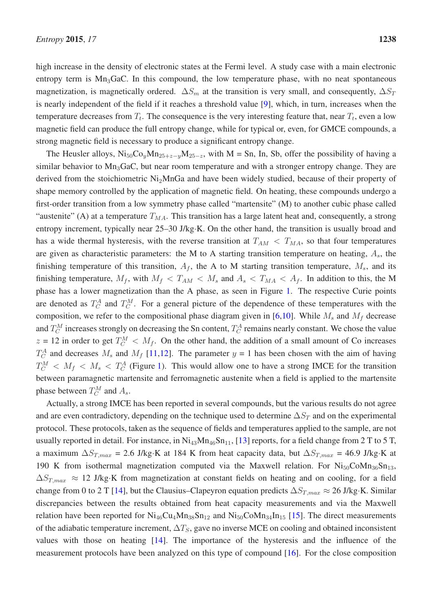high increase in the density of electronic states at the Fermi level. A study case with a main electronic entropy term is  $Mn_3GaC$ . In this compound, the low temperature phase, with no neat spontaneous magnetization, is magnetically ordered.  $\Delta S_m$  at the transition is very small, and consequently,  $\Delta S_T$ is nearly independent of the field if it reaches a threshold value [\[9](#page-15-8)], which, in turn, increases when the temperature decreases from  $T_t$ . The consequence is the very interesting feature that, near  $T_t$ , even a low magnetic field can produce the full entropy change, while for typical or, even, for GMCE compounds, a strong magnetic field is necessary to produce a significant entropy change.

The Heusler alloys,  $Ni_{50}Co_vMn_{25+z-v}M_{25-z}$ , with M = Sn, In, Sb, offer the possibility of having a similar behavior to  $Mn_3GaC$ , but near room temperature and with a stronger entropy change. They are derived from the stoichiometric Ni<sub>2</sub>MnGa and have been widely studied, because of their property of shape memory controlled by the application of magnetic field. On heating, these compounds undergo a first-order transition from a low symmetry phase called "martensite" (M) to another cubic phase called "austenite" (A) at a temperature  $T_{MA}$ . This transition has a large latent heat and, consequently, a strong entropy increment, typically near 25–30 J/kg·K. On the other hand, the transition is usually broad and has a wide thermal hysteresis, with the reverse transition at  $T_{AM} < T_{MA}$ , so that four temperatures are given as characteristic parameters: the M to A starting transition temperature on heating,  $A_s$ , the finishing temperature of this transition,  $A_f$ , the A to M starting transition temperature,  $M_s$ , and its finishing temperature,  $M_f$ , with  $M_f < T_{AM} < M_s$  and  $A_s < T_{MA} < A_f$ . In addition to this, the M phase has a lower magnetization than the A phase, as seen in Figure [1.](#page-3-0) The respective Curie points are denoted as  $T_C^A$  and  $T_C^M$ . For a general picture of the dependence of these temperatures with the composition, we refer to the compositional phase diagram given in [\[6](#page-15-5)[,10](#page-15-9)]. While  $M_s$  and  $M_f$  decrease and  $T_C^M$  increases strongly on decreasing the Sn content,  $T_C^A$  remains nearly constant. We chose the value  $z = 12$  in order to get  $T_C^M < M_f$ . On the other hand, the addition of a small amount of Co increases  $T_C^A$  and decreases  $M_s$  and  $M_f$  [\[11](#page-15-10)[,12](#page-16-0)]. The parameter  $y = 1$  has been chosen with the aim of having  $T_C^M < M_f < M_s < T_C^A$  (Figure [1\)](#page-3-0). This would allow one to have a strong IMCE for the transition between paramagnetic martensite and ferromagnetic austenite when a field is applied to the martensite phase between  $T_C^M$  and  $A_s$ .

Actually, a strong IMCE has been reported in several compounds, but the various results do not agree and are even contradictory, depending on the technique used to determine  $\Delta S_T$  and on the experimental protocol. These protocols, taken as the sequence of fields and temperatures applied to the sample, are not usually reported in detail. For instance, in  $Ni_{43}Mn_{46}Sn_{11}$ , [\[13](#page-16-1)] reports, for a field change from 2 T to 5 T, a maximum  $\Delta S_{T,max} = 2.6$  J/kg⋅K at 184 K from heat capacity data, but  $\Delta S_{T,max} = 46.9$  J/kg⋅K at 190 K from isothermal magnetization computed via the Maxwell relation. For  $Ni_{50}CoMn_{36}Sn_{13}$ ,  $\Delta S_{T,max} \approx 12$  J/kg·K from magnetization at constant fields on heating and on cooling, for a field change from 0 to 2 T [\[14](#page-16-2)], but the Clausius–Clapeyron equation predicts  $\Delta S_{T,max} \approx 26$  J/kg·K. Similar discrepancies between the results obtained from heat capacity measurements and via the Maxwell relation have been reported for  $Ni_{46}Cu_{4}Mn_{38}Sn_{12}$  and  $Ni_{50}CoMn_{34}In_{15}$  [\[15\]](#page-16-3). The direct measurements of the adiabatic temperature increment,  $\Delta T_S$ , gave no inverse MCE on cooling and obtained inconsistent values with those on heating [\[14](#page-16-2)]. The importance of the hysteresis and the influence of the measurement protocols have been analyzed on this type of compound [\[16\]](#page-16-4). For the close composition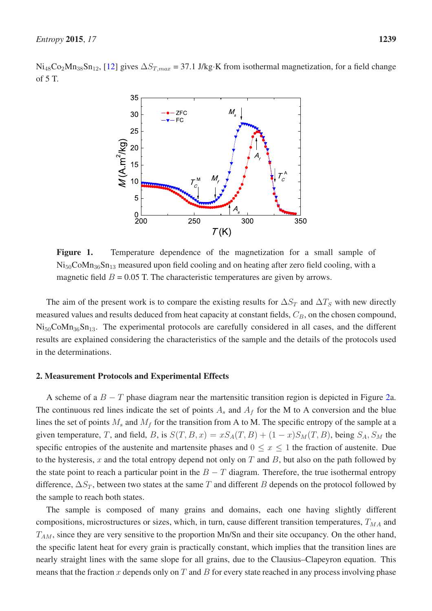<span id="page-3-0"></span> $Ni_{48}Co_2Mn_{38}Sn_{12}$ , [\[12\]](#page-16-0) gives  $\Delta S_{T,max} = 37.1$  J/kg·K from isothermal magnetization, for a field change of 5 T.



Figure 1. Temperature dependence of the magnetization for a small sample of  $Ni_{50}CoMn_{36}Sn_{13}$  measured upon field cooling and on heating after zero field cooling, with a magnetic field  $B = 0.05$  T. The characteristic temperatures are given by arrows.

The aim of the present work is to compare the existing results for  $\Delta S_T$  and  $\Delta T_S$  with new directly measured values and results deduced from heat capacity at constant fields,  $C_B$ , on the chosen compound,  $Ni_{50}CoMn_{36}Sn_{13}$ . The experimental protocols are carefully considered in all cases, and the different results are explained considering the characteristics of the sample and the details of the protocols used in the determinations.

# 2. Measurement Protocols and Experimental Effects

A scheme of a  $B - T$  phase diagram near the martensitic transition region is depicted in Figure [2a](#page-4-0). The continuous red lines indicate the set of points  $A_s$  and  $A_f$  for the M to A conversion and the blue lines the set of points  $M_s$  and  $M_f$  for the transition from A to M. The specific entropy of the sample at a given temperature, T, and field, B, is  $S(T, B, x) = xS_A(T, B) + (1 - x)S_M(T, B)$ , being  $S_A$ ,  $S_M$  the specific entropies of the austenite and martensite phases and  $0 \le x \le 1$  the fraction of austenite. Due to the hysteresis,  $x$  and the total entropy depend not only on  $T$  and  $B$ , but also on the path followed by the state point to reach a particular point in the  $B - T$  diagram. Therefore, the true isothermal entropy difference,  $\Delta S_T$ , between two states at the same T and different B depends on the protocol followed by the sample to reach both states.

The sample is composed of many grains and domains, each one having slightly different compositions, microstructures or sizes, which, in turn, cause different transition temperatures,  $T_{MA}$  and  $T_{AM}$ , since they are very sensitive to the proportion Mn/Sn and their site occupancy. On the other hand, the specific latent heat for every grain is practically constant, which implies that the transition lines are nearly straight lines with the same slope for all grains, due to the Clausius–Clapeyron equation. This means that the fraction x depends only on T and B for every state reached in any process involving phase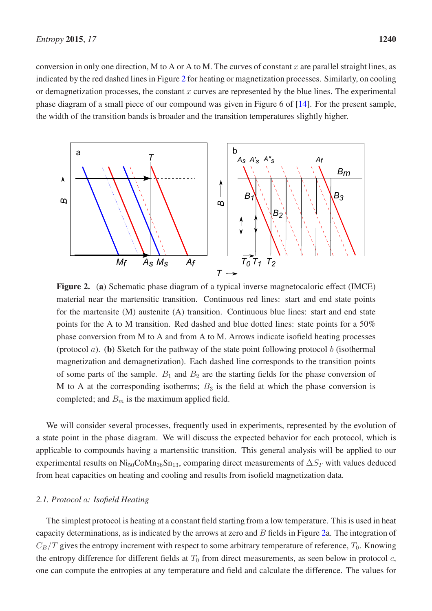conversion in only one direction, M to A or A to M. The curves of constant  $x$  are parallel straight lines, as indicated by the red dashed lines in Figure [2](#page-4-0) for heating or magnetization processes. Similarly, on cooling or demagnetization processes, the constant  $x$  curves are represented by the blue lines. The experimental phase diagram of a small piece of our compound was given in Figure 6 of [\[14\]](#page-16-2). For the present sample, the width of the transition bands is broader and the transition temperatures slightly higher.

<span id="page-4-0"></span>

Figure 2. (a) Schematic phase diagram of a typical inverse magnetocaloric effect (IMCE) material near the martensitic transition. Continuous red lines: start and end state points for the martensite (M) austenite (A) transition. Continuous blue lines: start and end state points for the A to M transition. Red dashed and blue dotted lines: state points for a 50% phase conversion from M to A and from A to M. Arrows indicate isofield heating processes (protocol  $a$ ). (b) Sketch for the pathway of the state point following protocol  $b$  (isothermal magnetization and demagnetization). Each dashed line corresponds to the transition points of some parts of the sample.  $B_1$  and  $B_2$  are the starting fields for the phase conversion of M to A at the corresponding isotherms;  $B_3$  is the field at which the phase conversion is completed; and  $B<sub>m</sub>$  is the maximum applied field.

We will consider several processes, frequently used in experiments, represented by the evolution of a state point in the phase diagram. We will discuss the expected behavior for each protocol, which is applicable to compounds having a martensitic transition. This general analysis will be applied to our experimental results on Ni<sub>50</sub>CoMn<sub>36</sub>Sn<sub>13</sub>, comparing direct measurements of  $\Delta S_T$  with values deduced from heat capacities on heating and cooling and results from isofield magnetization data.

# *2.1. Protocol* a*: Isofield Heating*

The simplest protocol is heating at a constant field starting from a low temperature. This is used in heat capacity determinations, as is indicated by the arrows at zero and  $B$  fields in Figure [2a](#page-4-0). The integration of  $C_B/T$  gives the entropy increment with respect to some arbitrary temperature of reference,  $T_0$ . Knowing the entropy difference for different fields at  $T_0$  from direct measurements, as seen below in protocol  $c$ , one can compute the entropies at any temperature and field and calculate the difference. The values for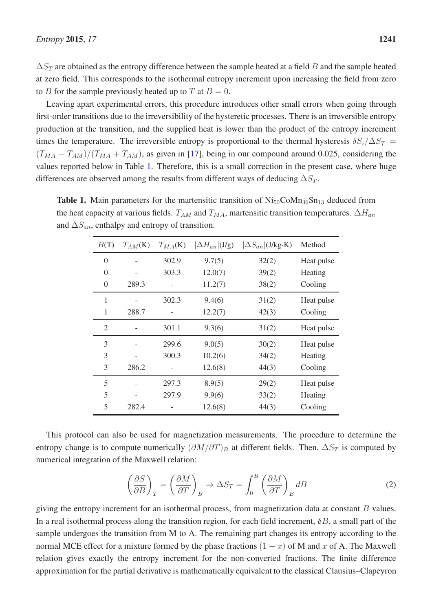$\Delta S_T$  are obtained as the entropy difference between the sample heated at a field B and the sample heated at zero field. This corresponds to the isothermal entropy increment upon increasing the field from zero to B for the sample previously heated up to T at  $B = 0$ .

Leaving apart experimental errors, this procedure introduces other small errors when going through first-order transitions due to the irreversibility of the hysteretic processes. There is an irreversible entropy production at the transition, and the supplied heat is lower than the product of the entropy increment times the temperature. The irreversible entropy is proportional to the thermal hysteresis  $\delta S_i/\Delta S_T =$  $(T_{MA} - T_{AM})/(T_{MA} + T_{AM})$ , as given in [\[17\]](#page-16-5), being in our compound around 0.025, considering the values reported below in Table [1.](#page-5-0) Therefore, this is a small correction in the present case, where huge differences are observed among the results from different ways of deducing  $\Delta S_T$ .

<span id="page-5-0"></span>**Table 1.** Main parameters for the martensitic transition of  $\text{Ni}_{50}\text{CoMn}_{36}\text{Sn}_{13}$  deduced from the heat capacity at various fields.  $T_{AM}$  and  $T_{MA}$ , martensitic transition temperatures.  $\Delta H_{an}$ and  $\Delta S_{an}$ , enthalpy and entropy of transition.

| B(T)           | $T_{AM}$ (K) | $T_{MA}$ (K) | $\Delta H_{an}$ (J/g) | $ \Delta S_{an} $ (J/kg·K) | Method     |
|----------------|--------------|--------------|-----------------------|----------------------------|------------|
| $\overline{0}$ |              | 302.9        | 9.7(5)                | 32(2)                      | Heat pulse |
| $\theta$       |              | 303.3        | 12.0(7)               | 39(2)                      | Heating    |
| $\overline{0}$ | 289.3        |              | 11.2(7)               | 38(2)                      | Cooling    |
| 1              |              | 302.3        | 9.4(6)                | 31(2)                      | Heat pulse |
| 1              | 288.7        |              | 12.2(7)               | 42(3)                      | Cooling    |
| $\overline{2}$ |              | 301.1        | 9.3(6)                | 31(2)                      | Heat pulse |
| 3              |              | 299.6        | 9.0(5)                | 30(2)                      | Heat pulse |
| 3              |              | 300.3        | 10.2(6)               | 34(2)                      | Heating    |
| 3              | 286.2        |              | 12.6(8)               | 44(3)                      | Cooling    |
| 5              |              | 297.3        | 8.9(5)                | 29(2)                      | Heat pulse |
| 5              |              | 297.9        | 9.9(6)                | 33(2)                      | Heating    |
| 5              | 282.4        |              | 12.6(8)               | 44(3)                      | Cooling    |

This protocol can also be used for magnetization measurements. The procedure to determine the entropy change is to compute numerically  $(\partial M/\partial T)_B$  at different fields. Then,  $\Delta S_T$  is computed by numerical integration of the Maxwell relation:

$$
\left(\frac{\partial S}{\partial B}\right)_T = \left(\frac{\partial M}{\partial T}\right)_B \Rightarrow \Delta S_T = \int_0^B \left(\frac{\partial M}{\partial T}\right)_B dB \tag{2}
$$

giving the entropy increment for an isothermal process, from magnetization data at constant  $B$  values. In a real isothermal process along the transition region, for each field increment,  $\delta B$ , a small part of the sample undergoes the transition from M to A. The remaining part changes its entropy according to the normal MCE effect for a mixture formed by the phase fractions  $(1 - x)$  of M and x of A. The Maxwell relation gives exactly the entropy increment for the non-converted fractions. The finite difference approximation for the partial derivative is mathematically equivalent to the classical Clausius–Clapeyron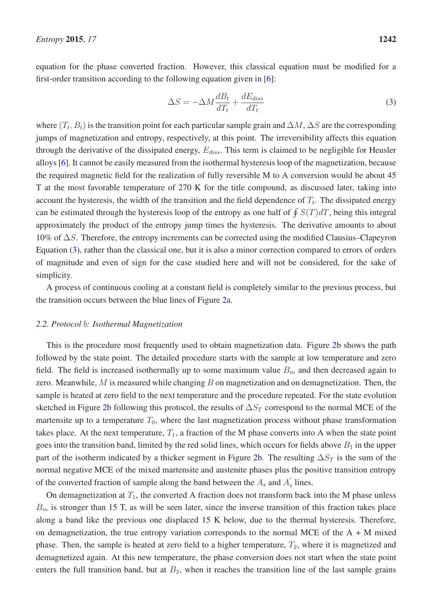equation for the phase converted fraction. However, this classical equation must be modified for a first-order transition according to the following equation given in [\[6](#page-15-5)]:

<span id="page-6-0"></span>
$$
\Delta S = -\Delta M \frac{dB_t}{dT_t} + \frac{dE_{diss}}{dT_t} \tag{3}
$$

where  $(T_t, B_t)$  is the transition point for each particular sample grain and  $\Delta M$ ,  $\Delta S$  are the corresponding jumps of magnetization and entropy, respectively, at this point. The irreversibility affects this equation through the derivative of the dissipated energy,  $E_{diss}$ . This term is claimed to be negligible for Heusler alloys [\[6](#page-15-5)]. It cannot be easily measured from the isothermal hysteresis loop of the magnetization, because the required magnetic field for the realization of fully reversible M to A conversion would be about 45 T at the most favorable temperature of 270 K for the title compound, as discussed later, taking into account the hysteresis, the width of the transition and the field dependence of  $T_t$ . The dissipated energy can be estimated through the hysteresis loop of the entropy as one half of  $\oint S(T)dT$ , being this integral approximately the product of the entropy jump times the hysteresis. The derivative amounts to about 10% of ∆S. Therefore, the entropy increments can be corrected using the modified Clausius–Clapeyron Equation [\(3\)](#page-6-0), rather than the classical one, but it is also a minor correction compared to errors of orders of magnitude and even of sign for the case studied here and will not be considered, for the sake of simplicity.

A process of continuous cooling at a constant field is completely similar to the previous process, but the transition occurs between the blue lines of Figure [2a](#page-4-0).

## *2.2. Protocol* b*: Isothermal Magnetization*

This is the procedure most frequently used to obtain magnetization data. Figure [2b](#page-4-0) shows the path followed by the state point. The detailed procedure starts with the sample at low temperature and zero field. The field is increased isothermally up to some maximum value  $B<sub>m</sub>$  and then decreased again to zero. Meanwhile,  $M$  is measured while changing  $B$  on magnetization and on demagnetization. Then, the sample is heated at zero field to the next temperature and the procedure repeated. For the state evolution sketched in Figure [2b](#page-4-0) following this protocol, the results of  $\Delta S_T$  correspond to the normal MCE of the martensite up to a temperature  $T_0$ , where the last magnetization process without phase transformation takes place. At the next temperature,  $T_1$ , a fraction of the M phase converts into A when the state point goes into the transition band, limited by the red solid lines, which occurs for fields above  $B_1$  in the upper part of the isotherm indicated by a thicker segment in Figure [2b](#page-4-0). The resulting  $\Delta S_T$  is the sum of the normal negative MCE of the mixed martensite and austenite phases plus the positive transition entropy of the converted fraction of sample along the band between the  $A_s$  and  $A'_s$  $\int_s$  lines.

On demagnetization at  $T_1$ , the converted A fraction does not transform back into the M phase unless  $B<sub>m</sub>$  is stronger than 15 T, as will be seen later, since the inverse transition of this fraction takes place along a band like the previous one displaced 15 K below, due to the thermal hysteresis. Therefore, on demagnetization, the true entropy variation corresponds to the normal MCE of the  $A + M$  mixed phase. Then, the sample is heated at zero field to a higher temperature,  $T_2$ , where it is magnetized and demagnetized again. At this new temperature, the phase conversion does not start when the state point enters the full transition band, but at  $B_2$ , when it reaches the transition line of the last sample grains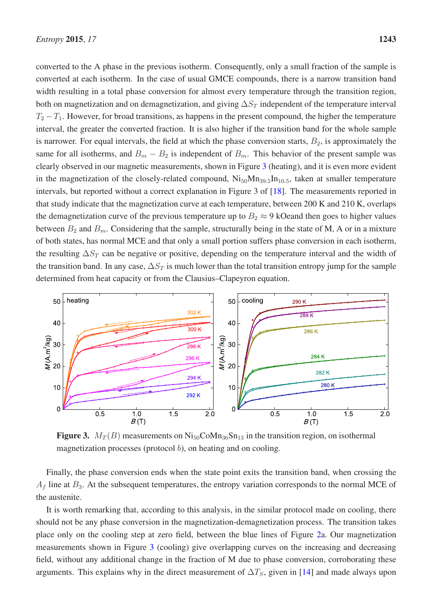converted to the A phase in the previous isotherm. Consequently, only a small fraction of the sample is converted at each isotherm. In the case of usual GMCE compounds, there is a narrow transition band width resulting in a total phase conversion for almost every temperature through the transition region, both on magnetization and on demagnetization, and giving  $\Delta S_T$  independent of the temperature interval  $T_2 - T_1$ . However, for broad transitions, as happens in the present compound, the higher the temperature interval, the greater the converted fraction. It is also higher if the transition band for the whole sample is narrower. For equal intervals, the field at which the phase conversion starts,  $B_2$ , is approximately the same for all isotherms, and  $B_m - B_2$  is independent of  $B_m$ . This behavior of the present sample was clearly observed in our magnetic measurements, shown in Figure [3](#page-7-0) (heating), and it is even more evident in the magnetization of the closely-related compound,  $Ni_{50}Mn_{39.5}In_{10.5}$ , taken at smaller temperature intervals, but reported without a correct explanation in Figure 3 of [\[18\]](#page-16-6). The measurements reported in that study indicate that the magnetization curve at each temperature, between 200 K and 210 K, overlaps the demagnetization curve of the previous temperature up to  $B_2 \approx 9$  kOeand then goes to higher values between  $B_2$  and  $B_m$ . Considering that the sample, structurally being in the state of M, A or in a mixture of both states, has normal MCE and that only a small portion suffers phase conversion in each isotherm, the resulting  $\Delta S_T$  can be negative or positive, depending on the temperature interval and the width of the transition band. In any case,  $\Delta S_T$  is much lower than the total transition entropy jump for the sample determined from heat capacity or from the Clausius–Clapeyron equation.

<span id="page-7-0"></span>

Figure 3.  $M_T(B)$  measurements on  $Ni_{50}CoMn_{36}Sn_{13}$  in the transition region, on isothermal magnetization processes (protocol  $b$ ), on heating and on cooling.

Finally, the phase conversion ends when the state point exits the transition band, when crossing the  $A_f$  line at  $B_3$ . At the subsequent temperatures, the entropy variation corresponds to the normal MCE of the austenite.

It is worth remarking that, according to this analysis, in the similar protocol made on cooling, there should not be any phase conversion in the magnetization-demagnetization process. The transition takes place only on the cooling step at zero field, between the blue lines of Figure [2a](#page-4-0). Our magnetization measurements shown in Figure [3](#page-7-0) (cooling) give overlapping curves on the increasing and decreasing field, without any additional change in the fraction of M due to phase conversion, corroborating these arguments. This explains why in the direct measurement of  $\Delta T_S$ , given in [\[14](#page-16-2)] and made always upon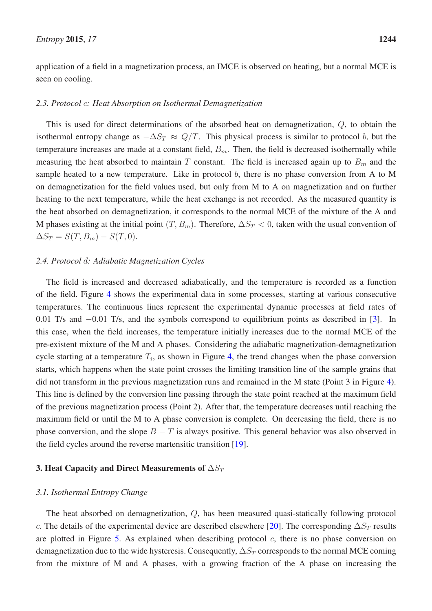application of a field in a magnetization process, an IMCE is observed on heating, but a normal MCE is seen on cooling.

#### *2.3. Protocol* c*: Heat Absorption on Isothermal Demagnetization*

This is used for direct determinations of the absorbed heat on demagnetization, Q, to obtain the isothermal entropy change as  $-\Delta S_T \approx Q/T$ . This physical process is similar to protocol b, but the temperature increases are made at a constant field,  $B<sub>m</sub>$ . Then, the field is decreased isothermally while measuring the heat absorbed to maintain T constant. The field is increased again up to  $B<sub>m</sub>$  and the sample heated to a new temperature. Like in protocol  $b$ , there is no phase conversion from A to M on demagnetization for the field values used, but only from M to A on magnetization and on further heating to the next temperature, while the heat exchange is not recorded. As the measured quantity is the heat absorbed on demagnetization, it corresponds to the normal MCE of the mixture of the A and M phases existing at the initial point  $(T, B_m)$ . Therefore,  $\Delta S_T < 0$ , taken with the usual convention of  $\Delta S_T = S(T, B_m) - S(T, 0).$ 

# *2.4. Protocol* d*: Adiabatic Magnetization Cycles*

The field is increased and decreased adiabatically, and the temperature is recorded as a function of the field. Figure [4](#page-9-0) shows the experimental data in some processes, starting at various consecutive temperatures. The continuous lines represent the experimental dynamic processes at field rates of 0.01 T/s and −0.01 T/s, and the symbols correspond to equilibrium points as described in [\[3](#page-15-2)]. In this case, when the field increases, the temperature initially increases due to the normal MCE of the pre-existent mixture of the M and A phases. Considering the adiabatic magnetization-demagnetization cycle starting at a temperature  $T_i$ , as shown in Figure [4,](#page-9-0) the trend changes when the phase conversion starts, which happens when the state point crosses the limiting transition line of the sample grains that did not transform in the previous magnetization runs and remained in the M state (Point 3 in Figure [4\)](#page-9-0). This line is defined by the conversion line passing through the state point reached at the maximum field of the previous magnetization process (Point 2). After that, the temperature decreases until reaching the maximum field or until the M to A phase conversion is complete. On decreasing the field, there is no phase conversion, and the slope  $B - T$  is always positive. This general behavior was also observed in the field cycles around the reverse martensitic transition [\[19](#page-16-7)].

#### 3. Heat Capacity and Direct Measurements of  $\Delta S_T$

#### *3.1. Isothermal Entropy Change*

The heat absorbed on demagnetization, Q, has been measured quasi-statically following protocol c. The details of the experimental device are described elsewhere [\[20](#page-16-8)]. The corresponding  $\Delta S_T$  results are plotted in Figure [5.](#page-9-1) As explained when describing protocol  $c$ , there is no phase conversion on demagnetization due to the wide hysteresis. Consequently,  $\Delta S_T$  corresponds to the normal MCE coming from the mixture of M and A phases, with a growing fraction of the A phase on increasing the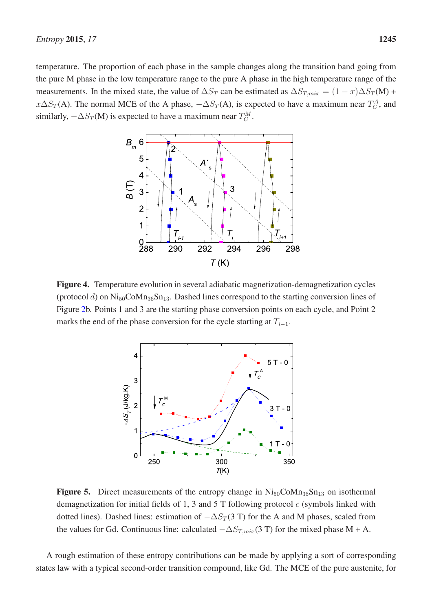<span id="page-9-0"></span>temperature. The proportion of each phase in the sample changes along the transition band going from the pure M phase in the low temperature range to the pure A phase in the high temperature range of the measurements. In the mixed state, the value of  $\Delta S_T$  can be estimated as  $\Delta S_{T,mix} = (1 - x)\Delta S_T(M)$  +  $x\Delta S_T(A)$ . The normal MCE of the A phase,  $-\Delta S_T(A)$ , is expected to have a maximum near  $T_C^A$ , and similarly,  $-\Delta S_T(M)$  is expected to have a maximum near  $T_C^M$ .



<span id="page-9-1"></span>Figure 4. Temperature evolution in several adiabatic magnetization-demagnetization cycles (protocol d) on  $Ni_{50}CoMn_{36}Sn_{13}$ . Dashed lines correspond to the starting conversion lines of Figure [2b](#page-4-0). Points 1 and 3 are the starting phase conversion points on each cycle, and Point 2 marks the end of the phase conversion for the cycle starting at  $T_{i-1}$ .



**Figure 5.** Direct measurements of the entropy change in  $\text{Ni}_{50}\text{CoMn}_{36}\text{Sn}_{13}$  on isothermal demagnetization for initial fields of 1, 3 and 5 T following protocol  $c$  (symbols linked with dotted lines). Dashed lines: estimation of  $-\Delta S_T(3 \text{ T})$  for the A and M phases, scaled from the values for Gd. Continuous line: calculated  $-\Delta S_{T,mix}(3 \text{ T})$  for the mixed phase M + A.

A rough estimation of these entropy contributions can be made by applying a sort of corresponding states law with a typical second-order transition compound, like Gd. The MCE of the pure austenite, for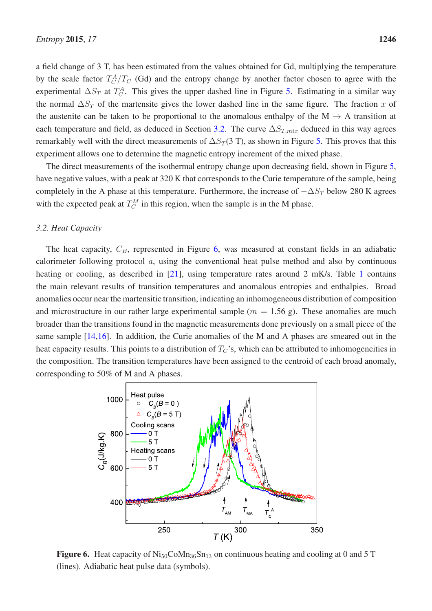a field change of 3 T, has been estimated from the values obtained for Gd, multiplying the temperature by the scale factor  $T_C^A/T_C$  (Gd) and the entropy change by another factor chosen to agree with the experimental  $\Delta S_T$  at  $T_C^A$ . This gives the upper dashed line in Figure [5.](#page-9-1) Estimating in a similar way the normal  $\Delta S_T$  of the martensite gives the lower dashed line in the same figure. The fraction x of the austenite can be taken to be proportional to the anomalous enthalpy of the  $M \rightarrow A$  transition at each temperature and field, as deduced in Section [3.2.](#page-10-0) The curve  $\Delta S_{T,mix}$  deduced in this way agrees remarkably well with the direct measurements of  $\Delta S_T(3 \text{ T})$ , as shown in Figure [5.](#page-9-1) This proves that this experiment allows one to determine the magnetic entropy increment of the mixed phase.

The direct measurements of the isothermal entropy change upon decreasing field, shown in Figure [5,](#page-9-1) have negative values, with a peak at 320 K that corresponds to the Curie temperature of the sample, being completely in the A phase at this temperature. Furthermore, the increase of  $-\Delta S_T$  below 280 K agrees with the expected peak at  $T_C^M$  in this region, when the sample is in the M phase.

#### <span id="page-10-0"></span>*3.2. Heat Capacity*

The heat capacity,  $C_B$ , represented in Figure [6,](#page-10-1) was measured at constant fields in an adiabatic calorimeter following protocol a, using the conventional heat pulse method and also by continuous heating or cooling, as described in [\[21](#page-16-9)], using temperature rates around 2 mK/s. Table [1](#page-5-0) contains the main relevant results of transition temperatures and anomalous entropies and enthalpies. Broad anomalies occur near the martensitic transition, indicating an inhomogeneous distribution of composition and microstructure in our rather large experimental sample ( $m = 1.56$  g). These anomalies are much broader than the transitions found in the magnetic measurements done previously on a small piece of the same sample [\[14](#page-16-2)[,16\]](#page-16-4). In addition, the Curie anomalies of the M and A phases are smeared out in the heat capacity results. This points to a distribution of  $T_C$ 's, which can be attributed to inhomogeneities in the composition. The transition temperatures have been assigned to the centroid of each broad anomaly, corresponding to 50% of M and A phases.

<span id="page-10-1"></span>

Figure 6. Heat capacity of  $\text{Ni}_{50}\text{CoMn}_{36}\text{Sn}_{13}$  on continuous heating and cooling at 0 and 5 T (lines). Adiabatic heat pulse data (symbols).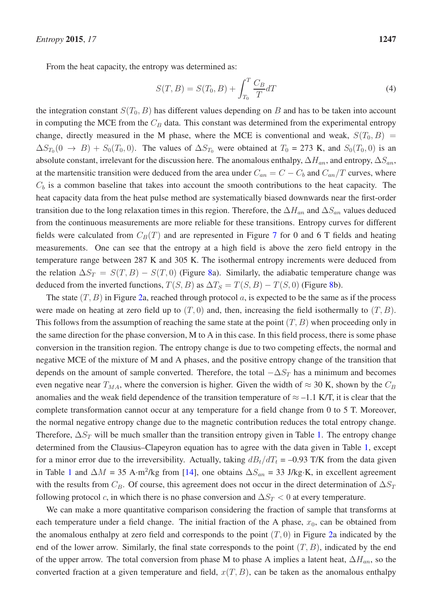From the heat capacity, the entropy was determined as:

$$
S(T, B) = S(T_0, B) + \int_{T_0}^{T} \frac{C_B}{T} dT
$$
\n(4)

the integration constant  $S(T_0, B)$  has different values depending on B and has to be taken into account in computing the MCE from the  $C_B$  data. This constant was determined from the experimental entropy change, directly measured in the M phase, where the MCE is conventional and weak,  $S(T_0, B)$  =  $\Delta S_{T_0}(0 \to B) + S_0(T_0, 0)$ . The values of  $\Delta S_{T_0}$  were obtained at  $T_0 = 273$  K, and  $S_0(T_0, 0)$  is an absolute constant, irrelevant for the discussion here. The anomalous enthalpy,  $\Delta H_{an}$ , and entropy,  $\Delta S_{an}$ , at the martensitic transition were deduced from the area under  $C_{an} = C - C_b$  and  $C_{an}/T$  curves, where  $C_b$  is a common baseline that takes into account the smooth contributions to the heat capacity. The heat capacity data from the heat pulse method are systematically biased downwards near the first-order transition due to the long relaxation times in this region. Therefore, the  $\Delta H_{an}$  and  $\Delta S_{an}$  values deduced from the continuous measurements are more reliable for these transitions. Entropy curves for different fields were calculated from  $C_B(T)$  and are represented in Figure [7](#page-12-0) for 0 and 6 T fields and heating measurements. One can see that the entropy at a high field is above the zero field entropy in the temperature range between 287 K and 305 K. The isothermal entropy increments were deduced from the relation  $\Delta S_T = S(T, B) - S(T, 0)$  (Figure [8a](#page-12-1)). Similarly, the adiabatic temperature change was deduced from the inverted functions,  $T(S, B)$  as  $\Delta T_S = T(S, B) - T(S, 0)$  (Figure [8b](#page-12-1)).

The state  $(T, B)$  in Figure [2a](#page-4-0), reached through protocol a, is expected to be the same as if the process were made on heating at zero field up to  $(T, 0)$  and, then, increasing the field isothermally to  $(T, B)$ . This follows from the assumption of reaching the same state at the point  $(T, B)$  when proceeding only in the same direction for the phase conversion, M to A in this case. In this field process, there is some phase conversion in the transition region. The entropy change is due to two competing effects, the normal and negative MCE of the mixture of M and A phases, and the positive entropy change of the transition that depends on the amount of sample converted. Therefore, the total  $-\Delta S_T$  has a minimum and becomes even negative near  $T_{MA}$ , where the conversion is higher. Given the width of  $\approx 30$  K, shown by the  $C_B$ anomalies and the weak field dependence of the transition temperature of  $\approx -1.1$  K/T, it is clear that the complete transformation cannot occur at any temperature for a field change from 0 to 5 T. Moreover, the normal negative entropy change due to the magnetic contribution reduces the total entropy change. Therefore,  $\Delta S_T$  will be much smaller than the transition entropy given in Table [1.](#page-5-0) The entropy change determined from the Clausius–Clapeyron equation has to agree with the data given in Table [1,](#page-5-0) except for a minor error due to the irreversibility. Actually, taking  $dB_t/dT_t = -0.93$  T/K from the data given in Table [1](#page-5-0) and  $\Delta M = 35$  A·m<sup>2</sup>/kg from [\[14\]](#page-16-2), one obtains  $\Delta S_{an} = 33$  J/kg·K, in excellent agreement with the results from  $C_B$ . Of course, this agreement does not occur in the direct determination of  $\Delta S_T$ following protocol c, in which there is no phase conversion and  $\Delta S_T < 0$  at every temperature.

We can make a more quantitative comparison considering the fraction of sample that transforms at each temperature under a field change. The initial fraction of the A phase,  $x_0$ , can be obtained from the anomalous enthalpy at zero field and corresponds to the point  $(T, 0)$  in Figure [2a](#page-4-0) indicated by the end of the lower arrow. Similarly, the final state corresponds to the point  $(T, B)$ , indicated by the end of the upper arrow. The total conversion from phase M to phase A implies a latent heat,  $\Delta H_{an}$ , so the converted fraction at a given temperature and field,  $x(T, B)$ , can be taken as the anomalous enthalpy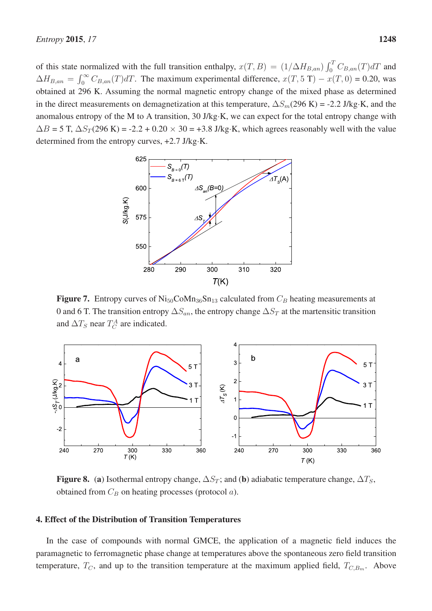of this state normalized with the full transition enthalpy,  $x(T, B) = (1/\Delta H_{B, an}) \int_0^T C_{B, an}(T) dT$  and  $\Delta H_{B,an} = \int_0^\infty C_{B,an}(T)dT$ . The maximum experimental difference,  $x(T, 5 T) - x(T, 0) = 0.20$ , was obtained at 296 K. Assuming the normal magnetic entropy change of the mixed phase as determined in the direct measurements on demagnetization at this temperature,  $\Delta S_m(296 \text{ K}) = -2.2 \text{ J/kg} \cdot \text{K}$ , and the anomalous entropy of the M to A transition, 30 J/kg·K, we can expect for the total entropy change with  $\Delta B = 5$  T,  $\Delta S_T(296 \text{ K}) = -2.2 + 0.20 \times 30 = +3.8 \text{ J/kg} \cdot \text{K}$ , which agrees reasonably well with the value determined from the entropy curves, +2.7 J/kg·K.

<span id="page-12-0"></span>

Figure 7. Entropy curves of  $\text{Ni}_{50}\text{CoMn}_{36}\text{Sn}_{13}$  calculated from  $C_B$  heating measurements at 0 and 6 T. The transition entropy  $\Delta S_{an}$ , the entropy change  $\Delta S_T$  at the martensitic transition and  $\Delta T_S$  near  $T_C^A$  are indicated.

<span id="page-12-1"></span>

Figure 8. (a) Isothermal entropy change,  $\Delta S_T$ ; and (b) adiabatic temperature change,  $\Delta T_S$ , obtained from  $C_B$  on heating processes (protocol  $a$ ).

# 4. Effect of the Distribution of Transition Temperatures

In the case of compounds with normal GMCE, the application of a magnetic field induces the paramagnetic to ferromagnetic phase change at temperatures above the spontaneous zero field transition temperature,  $T_C$ , and up to the transition temperature at the maximum applied field,  $T_{C,B_m}$ . Above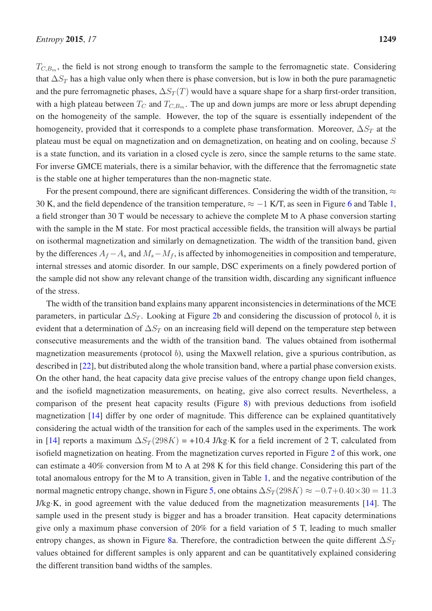$T_{C,B_m}$ , the field is not strong enough to transform the sample to the ferromagnetic state. Considering that  $\Delta S_T$  has a high value only when there is phase conversion, but is low in both the pure paramagnetic and the pure ferromagnetic phases,  $\Delta S_T(T)$  would have a square shape for a sharp first-order transition, with a high plateau between  $T_C$  and  $T_{C,B_m}$ . The up and down jumps are more or less abrupt depending on the homogeneity of the sample. However, the top of the square is essentially independent of the homogeneity, provided that it corresponds to a complete phase transformation. Moreover,  $\Delta S_T$  at the plateau must be equal on magnetization and on demagnetization, on heating and on cooling, because S is a state function, and its variation in a closed cycle is zero, since the sample returns to the same state. For inverse GMCE materials, there is a similar behavior, with the difference that the ferromagnetic state is the stable one at higher temperatures than the non-magnetic state.

For the present compound, there are significant differences. Considering the width of the transition,  $\approx$ 30 K, and the field dependence of the transition temperature,  $\approx -1$  K/T, as seen in Figure [6](#page-10-1) and Table [1,](#page-5-0) a field stronger than 30 T would be necessary to achieve the complete M to A phase conversion starting with the sample in the M state. For most practical accessible fields, the transition will always be partial on isothermal magnetization and similarly on demagnetization. The width of the transition band, given by the differences  $A_f - A_s$  and  $M_s - M_f$ , is affected by inhomogeneities in composition and temperature, internal stresses and atomic disorder. In our sample, DSC experiments on a finely powdered portion of the sample did not show any relevant change of the transition width, discarding any significant influence of the stress.

The width of the transition band explains many apparent inconsistencies in determinations of the MCE parameters, in particular  $\Delta S_T$ . Looking at Figure [2b](#page-4-0) and considering the discussion of protocol b, it is evident that a determination of  $\Delta S_T$  on an increasing field will depend on the temperature step between consecutive measurements and the width of the transition band. The values obtained from isothermal magnetization measurements (protocol b), using the Maxwell relation, give a spurious contribution, as described in [\[22\]](#page-16-10), but distributed along the whole transition band, where a partial phase conversion exists. On the other hand, the heat capacity data give precise values of the entropy change upon field changes, and the isofield magnetization measurements, on heating, give also correct results. Nevertheless, a comparison of the present heat capacity results (Figure [8\)](#page-12-1) with previous deductions from isofield magnetization [\[14\]](#page-16-2) differ by one order of magnitude. This difference can be explained quantitatively considering the actual width of the transition for each of the samples used in the experiments. The work in [\[14\]](#page-16-2) reports a maximum  $\Delta S_T(298K) = +10.4$  J/kg·K for a field increment of 2 T, calculated from isofield magnetization on heating. From the magnetization curves reported in Figure [2](#page-4-0) of this work, one can estimate a 40% conversion from M to A at 298 K for this field change. Considering this part of the total anomalous entropy for the M to A transition, given in Table [1,](#page-5-0) and the negative contribution of the normal magnetic entropy change, shown in Figure [5,](#page-9-1) one obtains  $\Delta S_T(298K) \approx -0.7+0.40 \times 30 = 11.3$ J/kg·K, in good agreement with the value deduced from the magnetization measurements [\[14](#page-16-2)]. The sample used in the present study is bigger and has a broader transition. Heat capacity determinations give only a maximum phase conversion of 20% for a field variation of 5 T, leading to much smaller entropy changes, as shown in Figure [8a](#page-12-1). Therefore, the contradiction between the quite different  $\Delta S_T$ values obtained for different samples is only apparent and can be quantitatively explained considering the different transition band widths of the samples.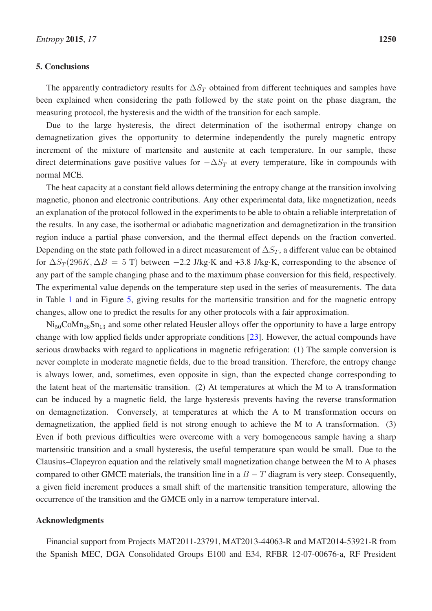# 5. Conclusions

The apparently contradictory results for  $\Delta S_T$  obtained from different techniques and samples have been explained when considering the path followed by the state point on the phase diagram, the measuring protocol, the hysteresis and the width of the transition for each sample.

Due to the large hysteresis, the direct determination of the isothermal entropy change on demagnetization gives the opportunity to determine independently the purely magnetic entropy increment of the mixture of martensite and austenite at each temperature. In our sample, these direct determinations gave positive values for  $-\Delta S_T$  at every temperature, like in compounds with normal MCE.

The heat capacity at a constant field allows determining the entropy change at the transition involving magnetic, phonon and electronic contributions. Any other experimental data, like magnetization, needs an explanation of the protocol followed in the experiments to be able to obtain a reliable interpretation of the results. In any case, the isothermal or adiabatic magnetization and demagnetization in the transition region induce a partial phase conversion, and the thermal effect depends on the fraction converted. Depending on the state path followed in a direct measurement of  $\Delta S_T$ , a different value can be obtained for  $\Delta S_T(296K, \Delta B = 5 \text{ T})$  between −2.2 J/kg·K and +3.8 J/kg·K, corresponding to the absence of any part of the sample changing phase and to the maximum phase conversion for this field, respectively. The experimental value depends on the temperature step used in the series of measurements. The data in Table [1](#page-5-0) and in Figure [5,](#page-9-1) giving results for the martensitic transition and for the magnetic entropy changes, allow one to predict the results for any other protocols with a fair approximation.

 $\text{Ni}_{50} \text{Co} \text{Mn}_{36} \text{Sn}_{13}$  and some other related Heusler alloys offer the opportunity to have a large entropy change with low applied fields under appropriate conditions [\[23\]](#page-16-11). However, the actual compounds have serious drawbacks with regard to applications in magnetic refrigeration: (1) The sample conversion is never complete in moderate magnetic fields, due to the broad transition. Therefore, the entropy change is always lower, and, sometimes, even opposite in sign, than the expected change corresponding to the latent heat of the martensitic transition. (2) At temperatures at which the M to A transformation can be induced by a magnetic field, the large hysteresis prevents having the reverse transformation on demagnetization. Conversely, at temperatures at which the A to M transformation occurs on demagnetization, the applied field is not strong enough to achieve the M to A transformation. (3) Even if both previous difficulties were overcome with a very homogeneous sample having a sharp martensitic transition and a small hysteresis, the useful temperature span would be small. Due to the Clausius–Clapeyron equation and the relatively small magnetization change between the M to A phases compared to other GMCE materials, the transition line in a  $B - T$  diagram is very steep. Consequently, a given field increment produces a small shift of the martensitic transition temperature, allowing the occurrence of the transition and the GMCE only in a narrow temperature interval.

# Acknowledgments

Financial support from Projects MAT2011-23791, MAT2013-44063-R and MAT2014-53921-R from the Spanish MEC, DGA Consolidated Groups E100 and E34, RFBR 12-07-00676-a, RF President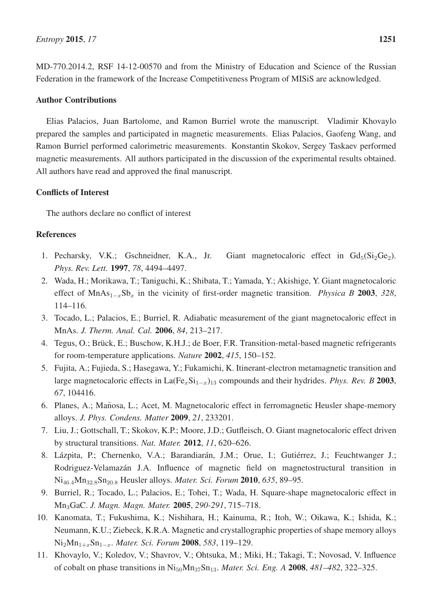MD-770.2014.2, RSF 14-12-00570 and from the Ministry of Education and Science of the Russian Federation in the framework of the Increase Competitiveness Program of MISiS are acknowledged.

# Author Contributions

Elias Palacios, Juan Bartolome, and Ramon Burriel wrote the manuscript. Vladimir Khovaylo prepared the samples and participated in magnetic measurements. Elias Palacios, Gaofeng Wang, and Ramon Burriel performed calorimetric measurements. Konstantin Skokov, Sergey Taskaev performed magnetic measurements. All authors participated in the discussion of the experimental results obtained. All authors have read and approved the final manuscript.

# Conflicts of Interest

The authors declare no conflict of interest

# References

- <span id="page-15-0"></span>1. Pecharsky, V.K.; Gschneidner, K.A., Jr. Giant magnetocaloric effect in  $Gd_5(Si_2Ge_2)$ . *Phys. Rev. Lett.* 1997, *78*, 4494–4497.
- <span id="page-15-1"></span>2. Wada, H.; Morikawa, T.; Taniguchi, K.; Shibata, T.; Yamada, Y.; Akishige, Y. Giant magnetocaloric effect of MnAs<sub>1-x</sub>Sb<sub>x</sub> in the vicinity of first-order magnetic transition. *Physica B* 2003, 328, 114–116.
- <span id="page-15-2"></span>3. Tocado, L.; Palacios, E.; Burriel, R. Adiabatic measurement of the giant magnetocaloric effect in MnAs. *J. Therm. Anal. Cal.* 2006, *84*, 213–217.
- <span id="page-15-3"></span>4. Tegus, O.; Brück, E.; Buschow, K.H.J.; de Boer, F.R. Transition-metal-based magnetic refrigerants for room-temperature applications. *Nature* 2002, *415*, 150–152.
- <span id="page-15-4"></span>5. Fujita, A.; Fujieda, S.; Hasegawa, Y.; Fukamichi, K. Itinerant-electron metamagnetic transition and large magnetocaloric effects in La(Fe<sub>x</sub>Si<sub>1−x</sub>)<sub>13</sub> compounds and their hydrides. *Phys. Rev. B* 2003, *67*, 104416.
- <span id="page-15-5"></span>6. Planes, A.; Mañosa, L.; Acet, M. Magnetocaloric effect in ferromagnetic Heusler shape-memory alloys. *J. Phys. Condens. Matter* 2009, *21*, 233201.
- <span id="page-15-6"></span>7. Liu, J.; Gottschall, T.; Skokov, K.P.; Moore, J.D.; Gutfleisch, O. Giant magnetocaloric effect driven by structural transitions. *Nat. Mater.* 2012, *11*, 620–626.
- <span id="page-15-7"></span>8. Lázpita, P.; Chernenko, V.A.; Barandiarán, J.M.; Orue, I.; Gutiérrez, J.; Feuchtwanger J.; Rodriguez-Velamazán J.A. Influence of magnetic field on magnetostructural transition in Ni<sup>46</sup>.<sup>4</sup>Mn<sup>32</sup>.<sup>8</sup>Sn<sup>20</sup>.<sup>8</sup> Heusler alloys. *Mater. Sci. Forum* 2010, *635*, 89–95.
- <span id="page-15-8"></span>9. Burriel, R.; Tocado, L.; Palacios, E.; Tohei, T.; Wada, H. Square-shape magnetocaloric effect in Mn3GaC. *J. Magn. Magn. Mater.* 2005, *290-291*, 715–718.
- <span id="page-15-9"></span>10. Kanomata, T.; Fukushima, K.; Nishihara, H.; Kainuma, R.; Itoh, W.; Oikawa, K.; Ishida, K.; Neumann, K.U.; Ziebeck, K.R.A. Magnetic and crystallographic properties of shape memory alloys Ni2Mn1+xSn1−x. *Mater. Sci. Forum* 2008, *583*, 119–129.
- <span id="page-15-10"></span>11. Khovaylo, V.; Koledov, V.; Shavrov, V.; Ohtsuka, M.; Miki, H.; Takagi, T.; Novosad, V. Influence of cobalt on phase transitions in Ni50Mn37Sn13. *Mater. Sci. Eng. A* 2008, *481–482*, 322–325.